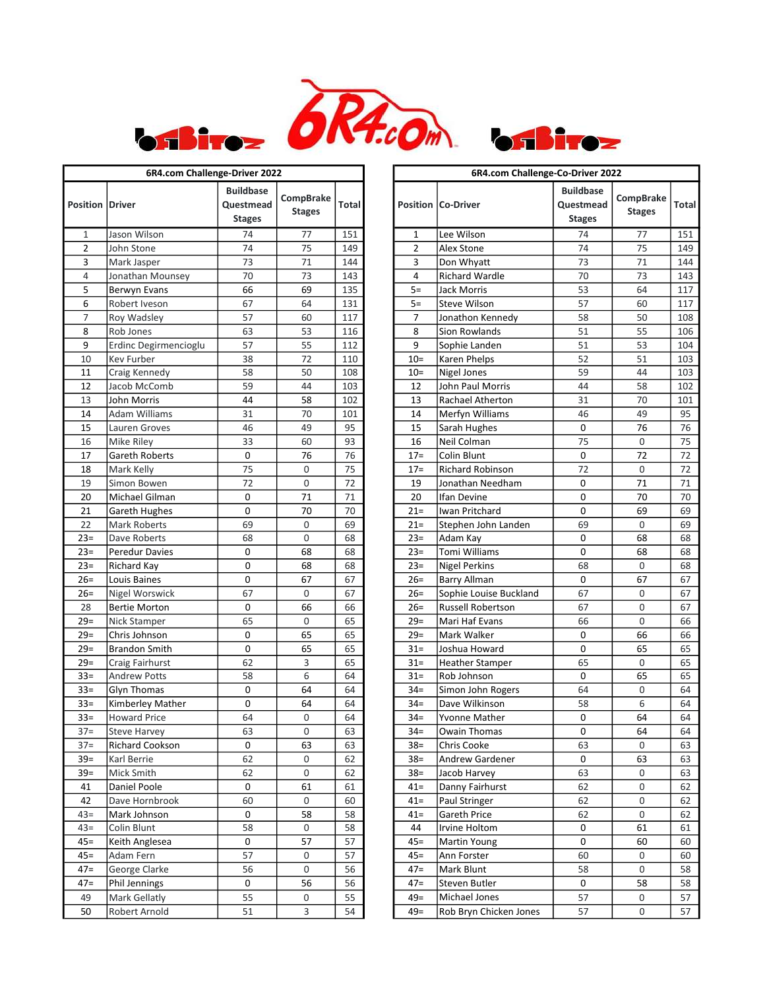



| 6R4.com Challenge-Driver 2022 |                       |                                                |                            |       |  |  |  |  |
|-------------------------------|-----------------------|------------------------------------------------|----------------------------|-------|--|--|--|--|
| <b>Position Driver</b>        |                       | <b>Buildbase</b><br>Questmead<br><b>Stages</b> | CompBrake<br><b>Stages</b> | Total |  |  |  |  |
| 1                             | Jason Wilson          | 74                                             | 77                         | 151   |  |  |  |  |
| $\overline{2}$                | John Stone            | 74                                             | 75                         | 149   |  |  |  |  |
| 3                             | Mark Jasper           | 73                                             | 71                         | 144   |  |  |  |  |
| $\overline{4}$                | Jonathan Mounsey      | 70                                             | 73                         | 143   |  |  |  |  |
| 5                             | Berwyn Evans          | 66                                             | 69                         | 135   |  |  |  |  |
| 6                             | Robert Iveson         | 67                                             | 64                         | 131   |  |  |  |  |
| 7                             | Roy Wadsley           | 57                                             | 60                         | 117   |  |  |  |  |
| 8                             | Rob Jones             | 63                                             | 53                         | 116   |  |  |  |  |
| 9                             | Erdinc Degirmencioglu | 57                                             | 55                         | 112   |  |  |  |  |
| 10                            | Kev Furber            | 38                                             | 72                         | 110   |  |  |  |  |
| 11                            | Craig Kennedy         | 58                                             | 50                         | 108   |  |  |  |  |
| 12                            | Jacob McComb          | 59                                             | 44                         | 103   |  |  |  |  |
| 13                            | John Morris           | 44                                             | 58                         | 102   |  |  |  |  |
| 14                            | <b>Adam Williams</b>  | 31                                             | 70                         | 101   |  |  |  |  |
| 15                            | Lauren Groves         | 46                                             | 49                         | 95    |  |  |  |  |
| 16                            | Mike Riley            | 33                                             | 60                         | 93    |  |  |  |  |
| 17                            | Gareth Roberts        | 0                                              | 76                         | 76    |  |  |  |  |
| 18                            | Mark Kelly            | 75                                             | 0                          | 75    |  |  |  |  |
| 19                            | Simon Bowen           | 72                                             | 0                          | 72    |  |  |  |  |
| 20                            | Michael Gilman        | 0                                              | 71                         | 71    |  |  |  |  |
| 21                            | Gareth Hughes         | 0                                              | 70                         | 70    |  |  |  |  |
| 22                            | <b>Mark Roberts</b>   | 69                                             | 0                          | 69    |  |  |  |  |
| $23=$                         | Dave Roberts          | 68                                             | 0                          | 68    |  |  |  |  |
| $23=$                         | <b>Peredur Davies</b> | 0                                              | 68                         | 68    |  |  |  |  |
| $23=$                         | Richard Kay           | 0                                              | 68                         | 68    |  |  |  |  |
| $26=$                         | Louis Baines          | 0                                              | 67                         | 67    |  |  |  |  |
| $26=$                         | <b>Nigel Worswick</b> | 67                                             | 0                          | 67    |  |  |  |  |
| 28                            | <b>Bertie Morton</b>  | 0                                              | 66                         | 66    |  |  |  |  |
| $29=$                         | Nick Stamper          | 65                                             | 0                          | 65    |  |  |  |  |
| $29=$                         | Chris Johnson         | 0                                              | 65                         | 65    |  |  |  |  |
| $29=$                         | <b>Brandon Smith</b>  | 0                                              | 65                         | 65    |  |  |  |  |
| $29=$                         | Craig Fairhurst       | 62                                             | 3                          | 65    |  |  |  |  |
| $33 =$                        | <b>Andrew Potts</b>   | 58                                             | 6                          | 64    |  |  |  |  |
| $33 =$                        | <b>Glyn Thomas</b>    | 0                                              | 64                         | 64    |  |  |  |  |
| $33 =$                        | Kimberley Mather      | 0                                              | 64                         | 64    |  |  |  |  |
| $33=$                         | <b>Howard Price</b>   | 64                                             | 0                          | 64    |  |  |  |  |
| $37=$                         | <b>Steve Harvey</b>   | 63                                             | 0                          | 63    |  |  |  |  |
| $37=$                         | Richard Cookson       | 0                                              | 63                         | 63    |  |  |  |  |
| $39=$                         | Karl Berrie           | 62                                             | 0                          | 62    |  |  |  |  |
| $39=$                         | Mick Smith            | 62                                             | 0                          | 62    |  |  |  |  |
| 41                            | Daniel Poole          | 0                                              | 61                         | 61    |  |  |  |  |
| 42                            | Dave Hornbrook        | 60                                             | 0                          | 60    |  |  |  |  |
| $43=$                         | Mark Johnson          | 0                                              | 58                         | 58    |  |  |  |  |
| $43=$                         | Colin Blunt           | 58                                             | 0                          | 58    |  |  |  |  |
| 45=                           | Keith Anglesea        | 0                                              | 57                         | 57    |  |  |  |  |
| $45 =$                        | Adam Fern             | 57                                             | 0                          | 57    |  |  |  |  |
| 47=                           | George Clarke         | 56                                             | 0                          | 56    |  |  |  |  |
| $47 =$                        | Phil Jennings         | 0                                              | 56                         | 56    |  |  |  |  |
| 49                            | Mark Gellatly         | 55                                             | 0                          | 55    |  |  |  |  |
| 50                            | Robert Arnold         | 51                                             | 3                          | 54    |  |  |  |  |

| 6R4.com Challenge-Driver 2022 |                        |                                                |                            |       | 6R4.com Challenge-Co-Driver 2022 |                          |                                                |                            |       |
|-------------------------------|------------------------|------------------------------------------------|----------------------------|-------|----------------------------------|--------------------------|------------------------------------------------|----------------------------|-------|
|                               | sition  Driver         | <b>Buildbase</b><br>Questmead<br><b>Stages</b> | CompBrake<br><b>Stages</b> | Total |                                  | Position   Co-Driver     | <b>Buildbase</b><br>Questmead<br><b>Stages</b> | CompBrake<br><b>Stages</b> | Total |
| 1                             | Jason Wilson           | 74                                             | 77                         | 151   | 1                                | Lee Wilson               | 74                                             | 77                         | 151   |
| $\overline{2}$                | John Stone             | 74                                             | 75                         | 149   | $\overline{2}$                   | Alex Stone               | 74                                             | 75                         | 149   |
| 3                             | Mark Jasper            | 73                                             | 71                         | 144   | 3                                | Don Whyatt               | 73                                             | 71                         | 144   |
| 4                             | Jonathan Mounsey       | 70                                             | 73                         | 143   | 4                                | <b>Richard Wardle</b>    | 70                                             | 73                         | 143   |
| 5                             | Berwyn Evans           | 66                                             | 69                         | 135   | $5=$                             | Jack Morris              | 53                                             | 64                         | 117   |
| 6                             | Robert Iveson          | 67                                             | 64                         | 131   | $5=$                             | <b>Steve Wilson</b>      | 57                                             | 60                         | 117   |
| 7                             | Roy Wadsley            | 57                                             | 60                         | 117   | $\overline{7}$                   | Jonathon Kennedy         | 58                                             | 50                         | 108   |
| 8                             | Rob Jones              | 63                                             | 53                         | 116   | 8                                | <b>Sion Rowlands</b>     | 51                                             | 55                         | 106   |
| 9                             | Erdinc Degirmencioglu  | 57                                             | 55                         | 112   | 9                                | Sophie Landen            | 51                                             | 53                         | 104   |
| 10                            | <b>Kev Furber</b>      | 38                                             | 72                         | 110   | $10=$                            | Karen Phelps             | 52                                             | 51                         | 103   |
| 11                            | Craig Kennedy          | 58                                             | 50                         | 108   | $10=$                            | Nigel Jones              | 59                                             | 44                         | 103   |
| 12                            | Jacob McComb           | 59                                             | 44                         | 103   | 12                               | John Paul Morris         | 44                                             | 58                         | 102   |
| 13                            | John Morris            | 44                                             | 58                         | 102   | 13                               | Rachael Atherton         | 31                                             | 70                         | 101   |
| 14                            | Adam Williams          | 31                                             | 70                         | 101   | 14                               | Merfyn Williams          | 46                                             | 49                         | 95    |
| 15                            | Lauren Groves          | 46                                             | 49                         | 95    | 15                               | Sarah Hughes             | 0                                              | 76                         | 76    |
| 16                            | Mike Riley             | 33                                             | 60                         | 93    | 16                               | Neil Colman              | 75                                             | 0                          | 75    |
| 17                            | Gareth Roberts         | $\mathbf 0$                                    | 76                         | 76    | $17 =$                           | Colin Blunt              | 0                                              | 72                         | 72    |
| 18                            | Mark Kelly             | 75                                             | $\mathbf 0$                | 75    | $17=$                            | <b>Richard Robinson</b>  | 72                                             | $\mathbf 0$                | 72    |
| 19                            | Simon Bowen            | 72                                             | 0                          | 72    | 19                               | Jonathan Needham         | 0                                              | 71                         | 71    |
| 20                            | Michael Gilman         | $\mathbf 0$                                    | 71                         | 71    | 20                               | Ifan Devine              | 0                                              | 70                         | 70    |
| 21                            | Gareth Hughes          | 0                                              | 70                         | 70    | $21 =$                           | Iwan Pritchard           | 0                                              | 69                         | 69    |
| 22                            | <b>Mark Roberts</b>    | 69                                             | 0                          | 69    | $21 =$                           | Stephen John Landen      | 69                                             | $\mathbf 0$                | 69    |
| $23=$                         | Dave Roberts           | 68                                             | 0                          | 68    | $23=$                            | Adam Kay                 | 0                                              | 68                         | 68    |
| $23=$                         | <b>Peredur Davies</b>  | 0                                              | 68                         | 68    | $23=$                            | Tomi Williams            | 0                                              | 68                         | 68    |
| $23=$                         | Richard Kay            | $\mathbf 0$                                    | 68                         | 68    | $23=$                            | <b>Nigel Perkins</b>     | 68                                             | $\mathbf 0$                | 68    |
| $26=$                         | Louis Baines           | $\mathbf 0$                                    | 67                         | 67    | $26=$                            | <b>Barry Allman</b>      | 0                                              | 67                         | 67    |
| $26=$                         | Nigel Worswick         | 67                                             | 0                          | 67    | $26=$                            | Sophie Louise Buckland   | 67                                             | $\mathbf 0$                | 67    |
| 28                            | <b>Bertie Morton</b>   | 0                                              | 66                         | 66    | $26=$                            | <b>Russell Robertson</b> | 67                                             | $\mathbf 0$                | 67    |
| $29=$                         | Nick Stamper           | 65                                             | 0                          | 65    | $29=$                            | Mari Haf Evans           | 66                                             | 0                          | 66    |
| $29=$                         | Chris Johnson          | 0                                              | 65                         | 65    | $29=$                            | Mark Walker              | 0                                              | 66                         | 66    |
| $29=$                         | <b>Brandon Smith</b>   | 0                                              | 65                         | 65    | $31 =$                           | Joshua Howard            | 0                                              | 65                         | 65    |
| $29=$                         | Craig Fairhurst        | 62                                             | 3                          | 65    | $31 =$                           | <b>Heather Stamper</b>   | 65                                             | $\mathbf 0$                | 65    |
| $33=$                         | <b>Andrew Potts</b>    | 58                                             | 6                          | 64    | $31 =$                           | Rob Johnson              | 0                                              | 65                         | 65    |
| $33=$                         | <b>Glyn Thomas</b>     | 0                                              | 64                         | 64    | $34 =$                           | Simon John Rogers        | 64                                             | 0                          | 64    |
| $33=$                         | Kimberley Mather       | 0                                              | 64                         | 64    | $34 =$                           | Dave Wilkinson           | 58                                             | 6                          | 64    |
| $33=$                         | <b>Howard Price</b>    | 64                                             | $\mathbf 0$                | 64    | $34 =$                           | Yvonne Mather            | 0                                              | 64                         | 64    |
| $37=$                         | <b>Steve Harvey</b>    | 63                                             | 0                          | 63    | $34 =$                           | Owain Thomas             | 0                                              | 64                         | 64    |
| $37=$                         | <b>Richard Cookson</b> | 0                                              | 63                         | 63    | $38 =$                           | Chris Cooke              | 63                                             | 0                          | 63    |
| $39=$                         | Karl Berrie            | 62                                             | 0                          | 62    | $38 =$                           | <b>Andrew Gardener</b>   | 0                                              | 63                         | 63    |
| $39=$                         | Mick Smith             | 62                                             | 0                          | 62    | $38 =$                           | Jacob Harvey             | 63                                             | 0                          | 63    |
| 41                            | Daniel Poole           | 0                                              | 61                         | 61    | $41 =$                           | Danny Fairhurst          | 62                                             | 0                          | 62    |
| 42                            | Dave Hornbrook         | 60                                             | 0                          | 60    | $41 =$                           | Paul Stringer            | 62                                             | 0                          | 62    |
| $43=$                         | Mark Johnson           | 0                                              | 58                         | 58    | $41 =$                           | Gareth Price             | 62                                             | 0                          | 62    |
| $43=$                         | Colin Blunt            | 58                                             | 0                          | 58    | 44                               | Irvine Holtom            | 0                                              | 61                         | 61    |
| 45=                           | Keith Anglesea         | 0                                              | 57                         | 57    | $45 =$                           | <b>Martin Young</b>      | 0                                              | 60                         | 60    |
| 45=                           | Adam Fern              | 57                                             | 0                          | 57    | $45 =$                           | Ann Forster              | 60                                             | 0                          | 60    |
| $47 =$                        | George Clarke          | 56                                             | 0                          | 56    | $47=$                            | Mark Blunt               | 58                                             | 0                          | 58    |
| 47=                           | Phil Jennings          | 0                                              | 56                         | 56    | $47=$                            | Steven Butler            | 0                                              | 58                         | 58    |
| 49                            | Mark Gellatly          | 55                                             | 0                          | 55    | $49=$                            | Michael Jones            | 57                                             | 0                          | 57    |
| 50                            | Robert Arnold          | 51                                             | 3                          | 54    | $49=$                            | Rob Bryn Chicken Jones   | 57                                             | 0                          | 57    |
|                               |                        |                                                |                            |       |                                  |                          |                                                |                            |       |